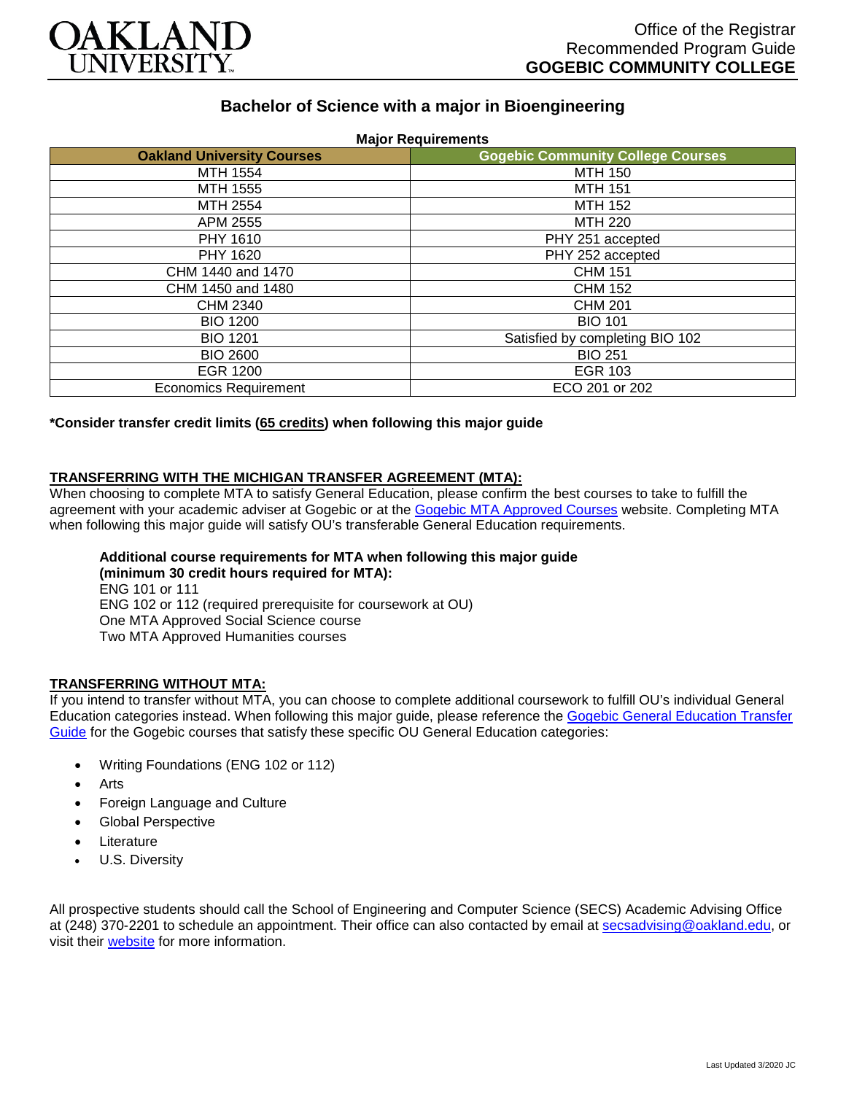

# **Bachelor of Science with a major in Bioengineering**

| <b>Oakland University Courses</b> | <b>Gogebic Community College Courses</b> |
|-----------------------------------|------------------------------------------|
| MTH 1554                          | <b>MTH 150</b>                           |
| <b>MTH 1555</b>                   | <b>MTH 151</b>                           |
| MTH 2554                          | <b>MTH 152</b>                           |
| APM 2555                          | MTH 220                                  |
| PHY 1610                          | PHY 251 accepted                         |
| PHY 1620                          | PHY 252 accepted                         |
| CHM 1440 and 1470                 | <b>CHM 151</b>                           |
| CHM 1450 and 1480                 | <b>CHM 152</b>                           |
| CHM 2340                          | <b>CHM 201</b>                           |
| <b>BIO 1200</b>                   | <b>BIO 101</b>                           |
| <b>BIO 1201</b>                   | Satisfied by completing BIO 102          |
| <b>BIO 2600</b>                   | <b>BIO 251</b>                           |
| EGR 1200                          | <b>EGR 103</b>                           |
| <b>Economics Requirement</b>      | ECO 201 or 202                           |

**\*Consider transfer credit limits (65 credits) when following this major guide**

## **TRANSFERRING WITH THE MICHIGAN TRANSFER AGREEMENT (MTA):**

When choosing to complete MTA to satisfy General Education, please confirm the best courses to take to fulfill the agreement with your academic adviser at Gogebic or at the [Gogebic MTA Approved Courses](https://www.gogebic.edu/Academics/transferinformation.html) website. Completing MTA when following this major guide will satisfy OU's transferable General Education requirements.

#### **Additional course requirements for MTA when following this major guide (minimum 30 credit hours required for MTA):**

ENG 101 or 111 ENG 102 or 112 (required prerequisite for coursework at OU) One MTA Approved Social Science course Two MTA Approved Humanities courses

### **TRANSFERRING WITHOUT MTA:**

If you intend to transfer without MTA, you can choose to complete additional coursework to fulfill OU's individual General Education categories instead. When following this major guide, please reference the [Gogebic General Education Transfer](https://www.oakland.edu/Assets/Oakland/program-guides/gogebic-community-college/university-general-education-requirements/Gogebic%20Gen%20Ed.pdf)  [Guide](https://www.oakland.edu/Assets/Oakland/program-guides/gogebic-community-college/university-general-education-requirements/Gogebic%20Gen%20Ed.pdf) for the Gogebic courses that satisfy these specific OU General Education categories:

- Writing Foundations (ENG 102 or 112)
- **Arts**
- Foreign Language and Culture
- Global Perspective
- **Literature**
- U.S. Diversity

All prospective students should call the School of Engineering and Computer Science (SECS) Academic Advising Office at (248) 370-2201 to schedule an appointment. Their office can also contacted by email at [secsadvising@oakland.edu,](mailto:secsadvising@oakland.edu) or visit their [website](https://wwwp.oakland.edu/secs/advising/) for more information.